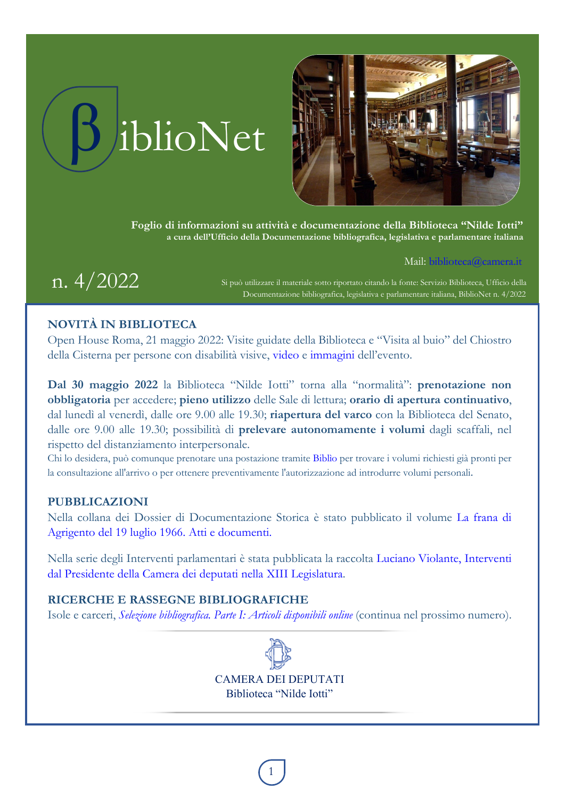



**Foglio di informazioni su attività e documentazione della Biblioteca "Nilde Iotti" a cura dell'Ufficio della Documentazione bibliografica, legislativa e parlamentare italiana** 

Mail: [biblioteca@camera.it](mailto:biblioteca@camera.it)

 $n.~4/2022$  Si può utilizzare il materiale sotto riportato citando la fonte: Servizio Biblioteca, Ufficio della Documentazione bibliografica, legislativa e parlamentare italiana, BiblioNet n. 4/2022

## **NOVITÀ IN BIBLIOTECA**

Open House Roma, 21 maggio 2022: Visite guidate della Biblioteca e "Visita al buio" del Chiostro della Cisterna per persone con disabilità visive, [video](https://comunicazione.camera.it/multimedia/videogallery?id=7354) e [immagini](https://comunicazione.camera.it/multimedia/fotogallery?id=7557) dell'evento.

**Dal 30 maggio 2022** la Biblioteca "Nilde Iotti" torna alla "normalità": **prenotazione non obbligatoria** per accedere; **pieno utilizzo** delle Sale di lettura; **orario di apertura continuativo**, dal lunedì al venerdì, dalle ore 9.00 alle 19.30; **riapertura del varco** con la Biblioteca del Senato, dalle ore 9.00 alle 19.30; possibilità di **prelevare autonomamente i volumi** dagli scaffali, nel rispetto del distanziamento interpersonale.

Chi lo desidera, può comunque prenotare una postazione tramite [Biblìo](https://prenotazionibiblioteca.camera.it/biblio/) per trovare i volumi richiesti già pronti per la consultazione all'arrivo o per ottenere preventivamente l'autorizzazione ad introdurre volumi personali.

### **PUBBLICAZIONI**

Nella collana dei Dossier di Documentazione Storica è stato pubblicato il volume [La frana di](https://biblioteca.camera.it/application/xmanager/projects/biblioteca/attachments/documentazione/pdfs/000/000/013/DDS18007_online_prot.pdf)  [Agrigento del 19 luglio 1966. Atti e documenti.](https://biblioteca.camera.it/application/xmanager/projects/biblioteca/attachments/documentazione/pdfs/000/000/013/DDS18007_online_prot.pdf)

Nella serie degli Interventi parlamentari è stata pubblicata la raccolta [Luciano Violante, Interventi](https://biblioteca.camera.it/87)  [dal Presidente della Camera dei deputati nella XIII Legislatura.](https://biblioteca.camera.it/87)

## **RICERCHE E RASSEGNE BIBLIOGRAFICHE**

Isole e carceri, *Selezione [bibliografica. Parte I: Articoli disponibili online](#page-1-0)* (continua nel prossimo numero).



CAMERA DEI DEPUTATI Biblioteca "Nilde Iotti"

1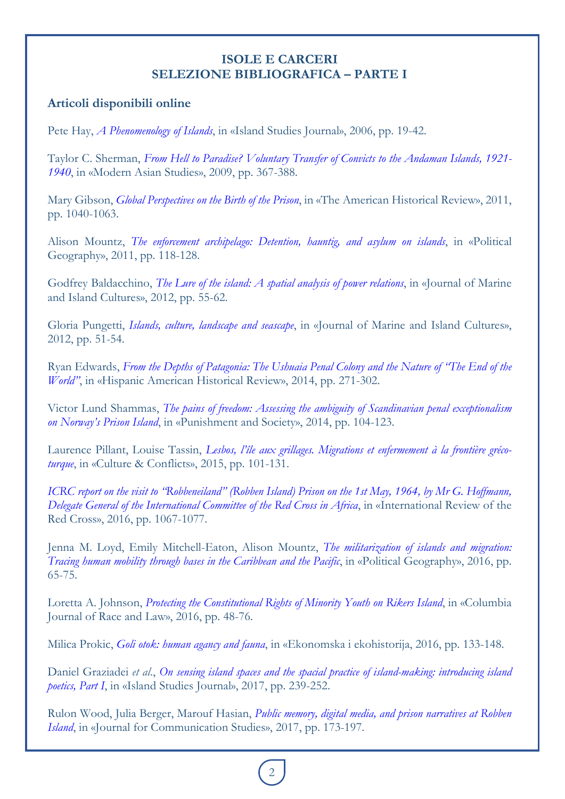## **ISOLE E CARCERI SELEZIONE BIBLIOGRAFICA – PARTE I**

# <span id="page-1-0"></span>**Articoli disponibili online**

Pete Hay, *[A Phenomenology of Islands](https://www.researchgate.net/publication/26486348_A_Phenomenology_of_Islands)*, in «Island Studies Journal», 2006, pp. 19-42.

Taylor C. Sherman, *From Hell [to Paradise? Voluntary Transfer of Convicts to the Andaman Islands, 1921-](https://doi.org/10.1017/S0026749X08003594) [1940](https://doi.org/10.1017/S0026749X08003594)*, in «Modern Asian Studies», 2009, pp. 367-388.

Mary Gibson, *[Global Perspectives on the Birth of the Prison](https://doi.org/10.1086/ahr.116.4.1040)*, in «The American Historical Review», 2011, pp. 1040-1063.

Alison Mountz, *[The enforcement archipelago: Detention, hauntig, and asylum on islands](https://doi.org/10.1016/j.polgeo.2011.01.005)*, in «Political Geography», 2011, pp. 118-128.

Godfrey Baldacchino, *[The Lure of the island: A spatial analysis of power relations](https://doi.org/10.1016/j.imic.2012.11.003)*, in «Journal of Marine and Island Cultures», 2012, pp. 55-62.

Gloria Pungetti, *[Islands, culture, landscape and seascape](https://doi.org/10.1016/j.imic.2012.11.007)*, in «Journal of Marine and Island Cultures», 2012, pp. 51-54.

Ryan Edwards, *From the Depths [of Patagonia: The Ushuaia Penal Colony and the Nature of "The End of the](https://doi.org/10.1215/00182168-2641262)  [World"](https://doi.org/10.1215/00182168-2641262)*, in «Hispanic American Historical Review», 2014, pp. 271-302.

Victor Lund Shammas, *[The pains of freedom: Assessing the ambiguity of Scandinavian penal exceptionalism](https://www.researchgate.net/publication/272825558_The_pains_of_freedom_Assessing_the_ambiguity_of_Scandinavian_penal_exceptionalism_on_Norway)  [on Norway's Prison Island](https://www.researchgate.net/publication/272825558_The_pains_of_freedom_Assessing_the_ambiguity_of_Scandinavian_penal_exceptionalism_on_Norway)*, in «Punishment and Society», 2014, pp. 104-123.

Laurence Pillant, Louise Tassin, *[Lesbos, l'île aux grillages. Migrations et enfermement à la frontière gréco](https://www.academia.edu/35336955/Lesbos_l_%C3%AEle_aux_grillages_Migrations_et_enfermement_%C3%A0_la_fronti%C3%A8re_gr%C3%A9co_turque)[turque](https://www.academia.edu/35336955/Lesbos_l_%C3%AEle_aux_grillages_Migrations_et_enfermement_%C3%A0_la_fronti%C3%A8re_gr%C3%A9co_turque)*, in «Culture & Conflicts», 2015, pp. 101-131.

*[ICRC report on the visit to "Robbeneiland" \(Robben Island\) Prison on the 1st May, 1964, by Mr G. Hoffmann,](https://international-review.icrc.org/sites/default/files/irrc-903-18.pdf)  [Delegate General of the International Committee of the Red Cross in Africa](https://international-review.icrc.org/sites/default/files/irrc-903-18.pdf)*, in «International Review of the Red Cross», 2016, pp. 1067-1077.

Jenna M. Loyd, Emily Mitchell-Eaton, Alison Mountz, *[The militarization of islands and migration:](https://doi.org/10.1016/j.polgeo.2015.11.006)  [Tracing human mobility through bases in the Caribbean and the Pacific](https://doi.org/10.1016/j.polgeo.2015.11.006)*, in «Political Geography», 2016, pp. 65-75.

Loretta A. Johnson, *[Protecting the Constitutional Rights of Minority Youth on Rikers Island](https://doi.org/10.7916/cjrl.v6i1.2313)*, in «Columbia Journal of Race and Law», 2016, pp. 48-76.

Milica Prokic, *[Goli otok: human agancy and fauna](https://www.researchgate.net/publication/350107771_Goli_otok_human_agancy_and_fauna)*, in «Ekonomska i ekohistorija, 2016, pp. 133-148.

Daniel Graziadei *et al*., *On sensing island spaces and the spacial [practice of island-making: introducing island](https://www.researchgate.net/publication/319661553_On_sensing_island_spaces_and_the_spatial_practice_of_island-making_introducing_island_poetics_Part_I)  [poetics, Part I](https://www.researchgate.net/publication/319661553_On_sensing_island_spaces_and_the_spatial_practice_of_island-making_introducing_island_poetics_Part_I)*, in «Island Studies Journal», 2017, pp. 239-252.

Rulon Wood, Julia Berger, Marouf Hasian, *[Public memory, digital media, and prison narratives at Robben](https://www.researchgate.net/publication/318777500_Public_memory_digital_media_and_prison_narratives_at_Robben_Island)  [Island](https://www.researchgate.net/publication/318777500_Public_memory_digital_media_and_prison_narratives_at_Robben_Island)*, in «Journal for Communication Studies», 2017, pp. 173-197.